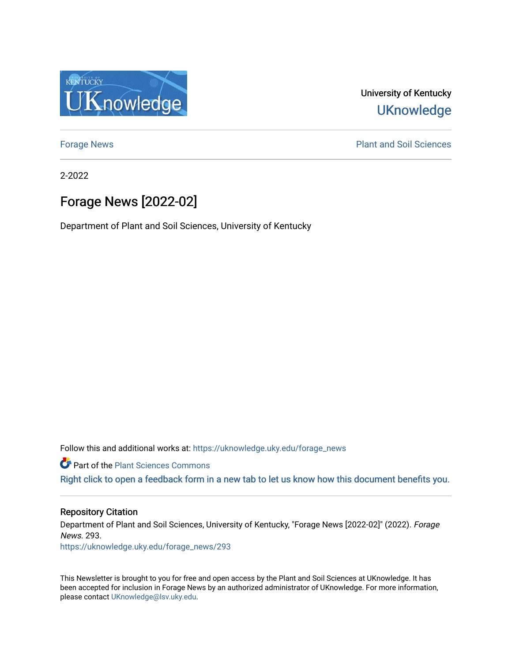

University of Kentucky **UKnowledge** 

[Forage News](https://uknowledge.uky.edu/forage_news) **Plant and Soil Sciences** 

2-2022

# Forage News [2022-02]

Department of Plant and Soil Sciences, University of Kentucky

Follow this and additional works at: [https://uknowledge.uky.edu/forage\\_news](https://uknowledge.uky.edu/forage_news?utm_source=uknowledge.uky.edu%2Fforage_news%2F293&utm_medium=PDF&utm_campaign=PDFCoverPages)

**Part of the [Plant Sciences Commons](http://network.bepress.com/hgg/discipline/102?utm_source=uknowledge.uky.edu%2Fforage_news%2F293&utm_medium=PDF&utm_campaign=PDFCoverPages)** 

[Right click to open a feedback form in a new tab to let us know how this document benefits you.](https://uky.az1.qualtrics.com/jfe/form/SV_9mq8fx2GnONRfz7)

# Repository Citation

Department of Plant and Soil Sciences, University of Kentucky, "Forage News [2022-02]" (2022). Forage News. 293.

[https://uknowledge.uky.edu/forage\\_news/293](https://uknowledge.uky.edu/forage_news/293?utm_source=uknowledge.uky.edu%2Fforage_news%2F293&utm_medium=PDF&utm_campaign=PDFCoverPages)

This Newsletter is brought to you for free and open access by the Plant and Soil Sciences at UKnowledge. It has been accepted for inclusion in Forage News by an authorized administrator of UKnowledge. For more information, please contact [UKnowledge@lsv.uky.edu.](mailto:UKnowledge@lsv.uky.edu)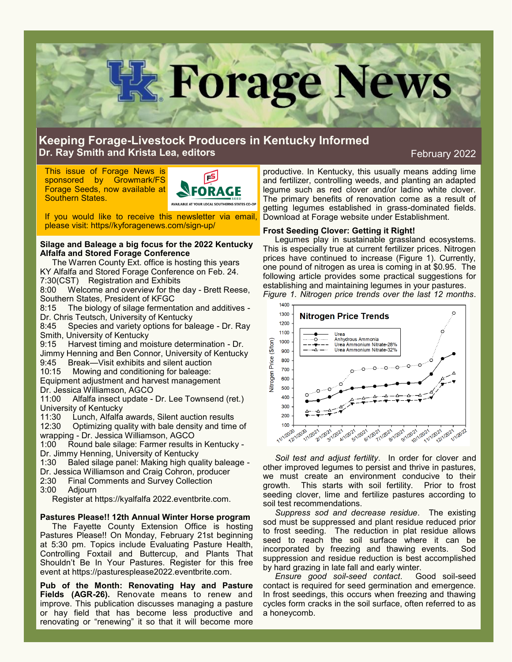

# **Keeping Forage-Livestock Producers in Kentucky Informed Dr. Ray Smith and Krista Lea, editors**

# February 2022

This issue of Forage News is sponsored by Growmark/FS Forage Seeds, now available at Southern States.



If you would like to receive this newsletter via email, please visit: https//kyforagenews.com/sign-up/

### **Silage and Baleage a big focus for the 2022 Kentucky Alfalfa and Stored Forage Conference**

The Warren County Ext. office is hosting this years KY Alfalfa and Stored Forage Conference on Feb. 24. 7:30(CST) Registration and Exhibits

8:00 Welcome and overview for the day - Brett Reese, Southern States, President of KFGC

8:15 The biology of silage fermentation and additives - Dr. Chris Teutsch, University of Kentucky

8:45 Species and variety options for baleage - Dr. Ray Smith, University of Kentucky

9:15 Harvest timing and moisture determination - Dr. Jimmy Henning and Ben Connor, University of Kentucky

9:45 Break—Visit exhibits and silent auction

10:15 Mowing and conditioning for baleage:

Equipment adjustment and harvest management Dr. Jessica Williamson, AGCO

11:00 Alfalfa insect update - Dr. Lee Townsend (ret.) University of Kentucky

11:30 Lunch, Alfalfa awards, Silent auction results 12:30 Optimizing quality with bale density and time of wrapping - Dr. Jessica Williamson, AGCO

1:00 Round bale silage: Farmer results in Kentucky - Dr. Jimmy Henning, University of Kentucky

1:30 Baled silage panel: Making high quality baleage -

Dr. Jessica Williamson and Craig Cohron, producer

2:30 Final Comments and Survey Collection

3:00 Adjourn

Register at https://kyalfalfa 2022.eventbrite.com.

## **Pastures Please!! 12th Annual Winter Horse program**

The Fayette County Extension Office is hosting Pastures Please!! On Monday, February 21st beginning at 5:30 pm. Topics include Evaluating Pasture Health, Controlling Foxtail and Buttercup, and Plants That Shouldn't Be In Your Pastures. Register for this free event at https://pasturesplease2022.eventbrite.com.

**Pub of the Month: Renovating Hay and Pasture Fields (AGR-26).** Renovate means to renew and improve. This publication discusses managing a pasture or hay field that has become less productive and renovating or "renewing" it so that it will become more

productive. In Kentucky, this usually means adding lime and fertilizer, controlling weeds, and planting an adapted legume such as red clover and/or ladino white clover. The primary benefits of renovation come as a result of getting legumes established in grass-dominated fields. Download at Forage website under Establishment.

## **Frost Seeding Clover: Getting it Right!**

Legumes play in sustainable grassland ecosystems. This is especially true at current fertilizer prices. Nitrogen prices have continued to increase (Figure 1). Currently, one pound of nitrogen as urea is coming in at \$0.95. The following article provides some practical suggestions for establishing and maintaining legumes in your pastures. *Figure 1. Nitrogen price trends over the last 12 months*.



*Soil test and adjust fertility*. In order for clover and other improved legumes to persist and thrive in pastures, we must create an environment conducive to their growth. This starts with soil fertility. Prior to frost seeding clover, lime and fertilize pastures according to soil test recommendations.

*Suppress sod and decrease residue*. The existing sod must be suppressed and plant residue reduced prior to frost seeding. The reduction in plat residue allows seed to reach the soil surface where it can be incorporated by freezing and thawing events. Sod suppression and residue reduction is best accomplished by hard grazing in late fall and early winter.

*Ensure good soil-seed contact*. Good soil-seed contact is required for seed germination and emergence. In frost seedings, this occurs when freezing and thawing cycles form cracks in the soil surface, often referred to as a honeycomb.